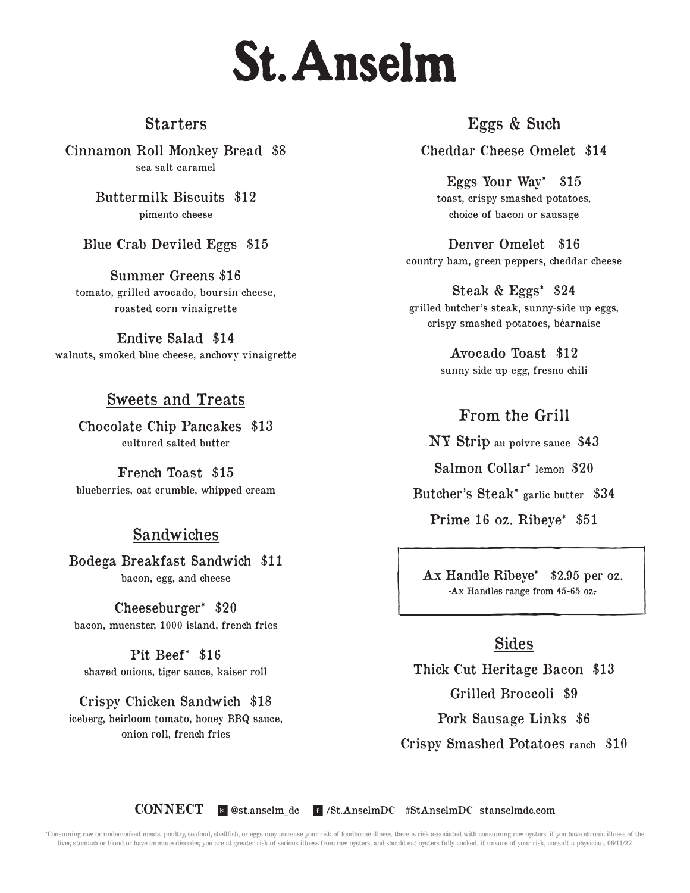# **St. Anselm**

#### Starters

Cinnamon Roll Monkey Bread \$8 sea salt caramel

> Buttermilk Biscuits \$12 pimento cheese

Blue Crab Deviled Eggs \$15

Summer Greens \$16 tomato, grilled avocado, boursin cheese, roasted corn vinaigrette

Endive Salad \$14 walnuts, smoked blue cheese, anchovy vinaigrette

#### Sweets and Treats

Chocolate Chip Pancakes \$13 cultured salted butter

French Toast \$15 blueberries, oat crumble, whipped cream

#### Sandwiches

Bodega Breakfast Sandwich \$11 bacon, egg, and cheese

Cheeseburger\* \$20 bacon, muenster, 1000 island, french fries

Pit Beef\* \$16 shaved onions, tiger sauce, kaiser roll

Crispy Chicken Sandwich \$18 iceberg, heirloom tomato, honey BBQ sauce, onion roll, french fries

### Eggs & Such

Cheddar Cheese Omelet \$14

Eggs Your Way\* \$15 toast, crispy smashed potatoes, choice of bacon or sausage

Denver Omelet \$16 country ham, green peppers, cheddar cheese

Steak & Eggs\* \$24 grilled butcher's steak, sunny-side up eggs, crispy smashed potatoes, béarnaise

> Avocado Toast \$12 sunny side up egg, fresno chili

# From the Grill

NY Strip au poivre sauce \$43 Salmon Collar\* lemon \$20 Butcher's Steak\* garlic butter \$34 Prime 16 oz. Ribeye\* \$51

Ax Handle Ribeye\* \$2.95 per oz.<br>-Ax Handles range from 45-65 oz. Ax Handle Ribeye\* \$2.95 per oz.<br>
-Ax Handles range from 45-65 oz.<br>
Sides<br>
Thick Cut Heritage Bacon \$13 Ax Handle Ribeye\* \$2.95 per oz. -Ax Handles range from 45-65 oz.-

#### Sides

Thick Cut Heritage Bacon \$13 Grilled Broccoli \$9 Pork Sausage Links \$6 Crispy Smashed Potatoes ranch \$10

CONNECT @ @st.anselm\_dc | /St.AnselmDC #StAnselmDC stanselmdc.com

\*Consuming raw or undercooked meats, poultry, seafood, shellfish, or eggs may increase your risk of foodborne illness. there is risk associated with consuming raw oysters. if you have chronic illness of the liver, stomach or blood or have immune disorder, you are at greater risk of serious illness from raw oysters, and should eat oysters fully cooked. if unsure of your risk, consult a physician. 06/11/22